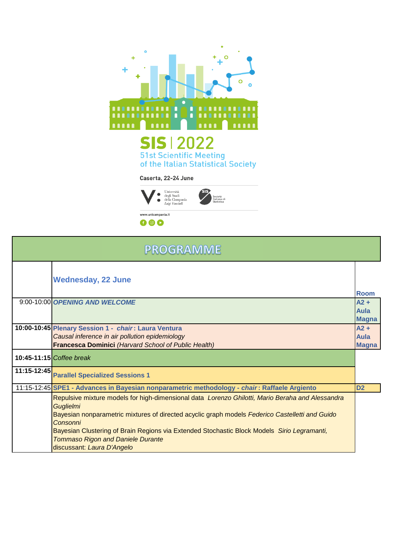



| <b>PROGRAMME</b> |                                                                                                                                                                                                                                                                                                                                                                                                              |                                |
|------------------|--------------------------------------------------------------------------------------------------------------------------------------------------------------------------------------------------------------------------------------------------------------------------------------------------------------------------------------------------------------------------------------------------------------|--------------------------------|
|                  | <b>Wednesday, 22 June</b>                                                                                                                                                                                                                                                                                                                                                                                    | <b>Room</b>                    |
|                  | 9:00-10:00 OPENING AND WELCOME                                                                                                                                                                                                                                                                                                                                                                               | $A2 +$<br>Aula<br><b>Magna</b> |
|                  | 10:00-10:45 Plenary Session 1 - chair: Laura Ventura<br>Causal inference in air pollution epidemiology<br>Francesca Dominici (Harvard School of Public Health)                                                                                                                                                                                                                                               | $A2 +$<br>Aula<br><b>Magna</b> |
|                  | 10:45-11:15 Coffee break                                                                                                                                                                                                                                                                                                                                                                                     |                                |
| 11:15-12:45      | <b>Parallel Specialized Sessions 1</b>                                                                                                                                                                                                                                                                                                                                                                       |                                |
|                  | 11:15-12:45 SPE1 - Advances in Bayesian nonparametric methodology - chair: Raffaele Argiento                                                                                                                                                                                                                                                                                                                 | D <sub>2</sub>                 |
|                  | Repulsive mixture models for high-dimensional data Lorenzo Ghilotti, Mario Beraha and Alessandra<br><b>Guglielmi</b><br>Bayesian nonparametric mixtures of directed acyclic graph models Federico Castelletti and Guido<br>Consonni<br>Bayesian Clustering of Brain Regions via Extended Stochastic Block Models Sirio Legramanti,<br><b>Tommaso Rigon and Daniele Durante</b><br>discussant: Laura D'Angelo |                                |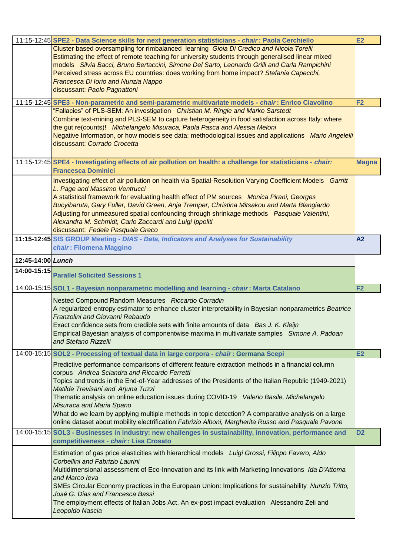|                   | 11:15-12:45 SPE2 - Data Science skills for next generation statisticians - chair: Paola Cerchiello                                                                                                                                                                                                                                                                                                                                                                                                                                                                                                                                    | <b>E2</b>      |
|-------------------|---------------------------------------------------------------------------------------------------------------------------------------------------------------------------------------------------------------------------------------------------------------------------------------------------------------------------------------------------------------------------------------------------------------------------------------------------------------------------------------------------------------------------------------------------------------------------------------------------------------------------------------|----------------|
|                   | Cluster based oversampling for rimbalanced learning Gioia Di Credico and Nicola Torelli<br>Estimating the effect of remote teaching for university students through generalised linear mixed<br>models Silvia Bacci, Bruno Bertaccini, Simone Del Sarto, Leonardo Grilli and Carla Rampichini<br>Perceived stress across EU countries: does working from home impact? Stefania Capecchi,<br>Francesca Di Iorio and Nunzia Nappo<br>discussant: Paolo Pagnattoni                                                                                                                                                                       |                |
|                   | 11:15-12:45 SPE3 - Non-parametric and semi-parametric multivariate models - chair: Enrico Ciavolino<br>"Fallacies" of PLS-SEM: An investigation Christian M. Ringle and Marko Sarstedt<br>Combine text-mining and PLS-SEM to capture heterogeneity in food satisfaction across Italy: where<br>the gut re(counts)! Michelangelo Misuraca, Paola Pasca and Alessia Meloni<br>Negative Information, or how models see data: methodological issues and applications Mario Angelelli<br>discussant: Corrado Crocetta                                                                                                                      | F <sub>2</sub> |
|                   | 11:15-12:45 SPE4 - Investigating effects of air pollution on health: a challenge for statisticians - chair:<br><b>Francesca Dominici</b>                                                                                                                                                                                                                                                                                                                                                                                                                                                                                              | <b>Magna</b>   |
|                   | Investigating effect of air pollution on health via Spatial-Resolution Varying Coefficient Models Garritt<br>L. Page and Massimo Ventrucci<br>A statistical framework for evaluating health effect of PM sources Monica Pirani, Georges<br>Bucyibaruta, Gary Fuller, David Green, Anja Tremper, Christina Mitsakou and Marta Blangiardo<br>Adjusting for unmeasured spatial confounding through shrinkage methods Pasquale Valentini,<br>Alexandra M. Schmidt, Carlo Zaccardi and Luigi Ippoliti<br>discussant: Fedele Pasquale Greco                                                                                                 |                |
|                   | 11:15-12:45 SIS GROUP Meeting - DIAS - Data, Indicators and Analyses for Sustainability<br>chair: Filomena Maggino                                                                                                                                                                                                                                                                                                                                                                                                                                                                                                                    | A <sub>2</sub> |
| 12:45-14:00 Lunch |                                                                                                                                                                                                                                                                                                                                                                                                                                                                                                                                                                                                                                       |                |
| 14:00-15:15       | <b>Parallel Solicited Sessions 1</b>                                                                                                                                                                                                                                                                                                                                                                                                                                                                                                                                                                                                  |                |
|                   | 14:00-15:15 SOL1 - Bayesian nonparametric modelling and learning - chair: Marta Catalano                                                                                                                                                                                                                                                                                                                                                                                                                                                                                                                                              | F <sub>2</sub> |
|                   | Nested Compound Random Measures Riccardo Corradin<br>A regularized-entropy estimator to enhance cluster interpretability in Bayesian nonparametrics Beatrice<br>Franzolini and Giovanni Rebaudo<br>Exact confidence sets from credible sets with finite amounts of data Bas J. K. Kleijn<br>Empirical Bayesian analysis of componentwise maxima in multivariate samples Simone A. Padoan<br>and Stefano Rizzelli                                                                                                                                                                                                                      |                |
|                   | 14:00-15:15 SOL2 - Processing of textual data in large corpora - chair: Germana Scepi                                                                                                                                                                                                                                                                                                                                                                                                                                                                                                                                                 | E2             |
|                   | Predictive performance comparisons of different feature extraction methods in a financial column<br>corpus Andrea Sciandra and Riccardo Ferretti<br>Topics and trends in the End-of-Year addresses of the Presidents of the Italian Republic (1949-2021)<br>Matilde Trevisani and Arjuna Tuzzi<br>Thematic analysis on online education issues during COVID-19 Valerio Basile, Michelangelo<br>Misuraca and Maria Spano<br>What do we learn by applying multiple methods in topic detection? A comparative analysis on a large<br>online dataset about mobility electrification Fabrizio Alboni, Margherita Russo and Pasquale Pavone |                |
|                   | 14:00-15:15 SOL3 - Businesses in industry: new challenges in sustainability, innovation, performance and<br>competitiveness - chair: Lisa Crosato                                                                                                                                                                                                                                                                                                                                                                                                                                                                                     | D <sub>2</sub> |
|                   | Estimation of gas price elasticities with hierarchical models Luigi Grossi, Filippo Favero, Aldo<br>Corbellini and Fabrizio Laurini<br>Multidimensional assessment of Eco-Innovation and its link with Marketing Innovations Ida D'Attoma<br>and Marco leva<br>SMEs Circular Economy practices in the European Union: Implications for sustainability Nunzio Tritto,<br>José G. Dias and Francesca Bassi<br>The employment effects of Italian Jobs Act. An ex-post impact evaluation Alessandro Zeli and<br>Leopoldo Nascia                                                                                                           |                |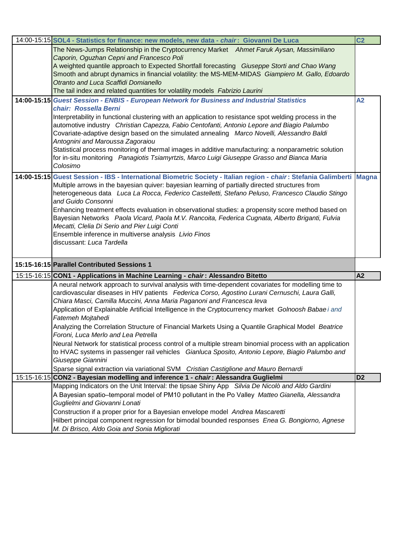| 14:00-15:15 SOL4 - Statistics for finance: new models, new data - chair: Giovanni De Luca                                                      | C <sub>2</sub> |
|------------------------------------------------------------------------------------------------------------------------------------------------|----------------|
| The News-Jumps Relationship in the Cryptocurrency Market Ahmet Faruk Aysan, Massimiliano                                                       |                |
| Caporin, Oguzhan Cepni and Francesco Poli                                                                                                      |                |
| A weighted quantile approach to Expected Shortfall forecasting Giuseppe Storti and Chao Wang                                                   |                |
| Smooth and abrupt dynamics in financial volatility: the MS-MEM-MIDAS Giampiero M. Gallo, Edoardo                                               |                |
| Otranto and Luca Scaffidi Domianello                                                                                                           |                |
| The tail index and related quantities for volatility models Fabrizio Laurini                                                                   |                |
| 14:00-15:15 Guest Session - ENBIS - European Network for Business and Industrial Statistics                                                    | A2             |
| chair: Rossella Berni                                                                                                                          |                |
| Interpretability in functional clustering with an application to resistance spot welding process in the                                        |                |
| automotive industry Christian Capezza, Fabio Centofanti, Antonio Lepore and Biagio Palumbo                                                     |                |
| Covariate-adaptive design based on the simulated annealing Marco Novelli, Alessandro Baldi                                                     |                |
| Antognini and Maroussa Zagoraiou                                                                                                               |                |
| Statistical process monitoring of thermal images in additive manufacturing: a nonparametric solution                                           |                |
| for in-situ monitoring Panagiotis Tsiamyrtzis, Marco Luigi Giuseppe Grasso and Bianca Maria                                                    |                |
| Colosimo                                                                                                                                       |                |
| 14:00-15:15 Guest Session - IBS - International Biometric Society - Italian region - chair: Stefania Galimberti Magna                          |                |
| Multiple arrows in the bayesian quiver: bayesian learning of partially directed structures from                                                |                |
| heterogeneous data Luca La Rocca, Federico Castelletti, Stefano Peluso, Francesco Claudio Stingo                                               |                |
| and Guido Consonni                                                                                                                             |                |
| Enhancing treatment effects evaluation in observational studies: a propensity score method based on                                            |                |
| Bayesian Networks Paola Vicard, Paola M.V. Rancoita, Federica Cugnata, Alberto Briganti, Fulvia                                                |                |
| Mecatti, Clelia Di Serio and Pier Luigi Conti                                                                                                  |                |
| Ensemble inference in multiverse analysis Livio Finos                                                                                          |                |
| discussant: Luca Tardella                                                                                                                      |                |
|                                                                                                                                                |                |
| 15:15-16:15 Parallel Contributed Sessions 1                                                                                                    |                |
| 15:15-16:15 CON1 - Applications in Machine Learning - chair: Alessandro Bitetto                                                                | A2             |
| A neural network approach to survival analysis with time-dependent covariates for modelling time to                                            |                |
| cardiovascular diseases in HIV patients Federica Corso, Agostino Lurani Cernuschi, Laura Galli,                                                |                |
| Chiara Masci, Camilla Muccini, Anna Maria Paganoni and Francesca leva                                                                          |                |
| Application of Explainable Artificial Intelligence in the Cryptocurrency market Golnoosh Babae i and                                           |                |
| Fatemeh Mojtahedi                                                                                                                              |                |
| Analyzing the Correlation Structure of Financial Markets Using a Quantile Graphical Model Beatrice                                             |                |
| Foroni, Luca Merlo and Lea Petrella                                                                                                            |                |
|                                                                                                                                                |                |
|                                                                                                                                                |                |
| Neural Network for statistical process control of a multiple stream binomial process with an application                                       |                |
| to HVAC systems in passenger rail vehicles Gianluca Sposito, Antonio Lepore, Biagio Palumbo and                                                |                |
| Giuseppe Giannini                                                                                                                              |                |
| Sparse signal extraction via variational SVM  Cristian Castiglione and Mauro Bernardi                                                          | D <sub>2</sub> |
| 15:15-16:15 CON2 - Bayesian modelling and inference 1 - chair: Alessandra Guglielmi                                                            |                |
| Mapping Indicators on the Unit Interval: the tipsae Shiny App Silvia De Nicolò and Aldo Gardini                                                |                |
| A Bayesian spatio-temporal model of PM10 pollutant in the Po Valley Matteo Gianella, Alessandra                                                |                |
| Guglielmi and Giovanni Lonati                                                                                                                  |                |
| Construction if a proper prior for a Bayesian envelope model Andrea Mascaretti                                                                 |                |
| Hilbert principal component regression for bimodal bounded responses Enea G. Bongiorno, Agnese<br>M. Di Brisco, Aldo Goia and Sonia Migliorati |                |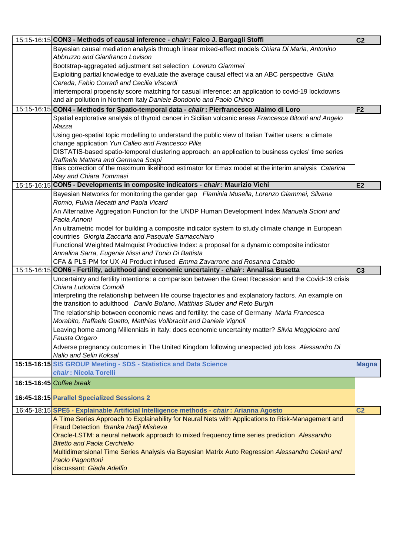| 15:15-16:15 CON3 - Methods of causal inference - chair: Falco J. Bargagli Stoffi                                                                                | C <sub>2</sub> |
|-----------------------------------------------------------------------------------------------------------------------------------------------------------------|----------------|
| Bayesian causal mediation analysis through linear mixed-effect models Chiara Di Maria, Antonino                                                                 |                |
| Abbruzzo and Gianfranco Lovison                                                                                                                                 |                |
| Bootstrap-aggregated adjustment set selection Lorenzo Giammei                                                                                                   |                |
| Exploiting partial knowledge to evaluate the average causal effect via an ABC perspective Giulia                                                                |                |
| Cereda, Fabio Corradi and Cecilia Viscardi                                                                                                                      |                |
| Intertemporal propensity score matching for casual inference: an application to covid-19 lockdowns                                                              |                |
| and air pollution in Northern Italy Daniele Bondonio and Paolo Chirico                                                                                          |                |
| 15:15-16:15 CON4 - Methods for Spatio-temporal data - chair: Pierfrancesco Alaimo di Loro                                                                       | F <sub>2</sub> |
| Spatial explorative analysis of thyroid cancer in Sicilian volcanic areas Francesca Bitonti and Angelo                                                          |                |
| Mazza                                                                                                                                                           |                |
| Using geo-spatial topic modelling to understand the public view of Italian Twitter users: a climate                                                             |                |
| change application Yuri Calleo and Francesco Pilla                                                                                                              |                |
| DISTATIS-based spatio-temporal clustering approach: an application to business cycles' time series                                                              |                |
| Raffaele Mattera and Germana Scepi                                                                                                                              |                |
| Bias correction of the maximum likelihood estimator for Emax model at the interim analysis Caterina                                                             |                |
| May and Chiara Tommasi                                                                                                                                          |                |
| 15:15-16:15 CON5 - Developments in composite indicators - chair: Maurizio Vichi                                                                                 | E2             |
| Bayesian Networks for monitoring the gender gap Flaminia Musella, Lorenzo Giammei, Silvana                                                                      |                |
| Romio, Fulvia Mecatti and Paola Vicard                                                                                                                          |                |
| An Alternative Aggregation Function for the UNDP Human Development Index Manuela Scioni and                                                                     |                |
| Paola Annoni                                                                                                                                                    |                |
| An ultrametric model for building a composite indicator system to study climate change in European                                                              |                |
| countries Giorgia Zaccaria and Pasquale Sarnacchiaro                                                                                                            |                |
| Functional Weighted Malmquist Productive Index: a proposal for a dynamic composite indicator                                                                    |                |
| Annalina Sarra, Eugenia Nissi and Tonio Di Battista                                                                                                             |                |
|                                                                                                                                                                 |                |
| CFA & PLS-PM for UX-AI Product infused Emma Zavarrone and Rosanna Cataldo                                                                                       |                |
| 15:15-16:15 CON6 - Fertility, adulthood and economic uncertainty - chair: Annalisa Busetta                                                                      | C <sub>3</sub> |
|                                                                                                                                                                 |                |
| Uncertainty and fertility intentions: a comparison between the Great Recession and the Covid-19 crisis<br>Chiara Ludovica Comolli                               |                |
| Interpreting the relationship between life course trajectories and explanatory factors. An example on                                                           |                |
| the transition to adulthood Danilo Bolano, Matthias Studer and Reto Burgin                                                                                      |                |
|                                                                                                                                                                 |                |
| The relationship between economic news and fertility: the case of Germany Maria Francesca<br>Morabito, Raffaele Guetto, Matthias Vollbracht and Daniele Vignoli |                |
|                                                                                                                                                                 |                |
| Leaving home among Millennials in Italy: does economic uncertainty matter? Silvia Meggiolaro and<br>Fausta Ongaro                                               |                |
|                                                                                                                                                                 |                |
| Adverse pregnancy outcomes in The United Kingdom following unexpected job loss Alessandro Di<br>Nallo and Selin Koksal                                          |                |
|                                                                                                                                                                 |                |
| 15:15-16:15 SIS GROUP Meeting - SDS - Statistics and Data Science<br>chair: Nicola Torelli                                                                      | <b>Magna</b>   |
|                                                                                                                                                                 |                |
| 16:15-16:45 Coffee break                                                                                                                                        |                |
| 16:45-18:15 Parallel Specialized Sessions 2                                                                                                                     |                |
| 16:45-18:15 SPE5 - Explainable Artificial Intelligence methods - chair: Arianna Agosto                                                                          | C <sub>2</sub> |
| A Time Series Approach to Explainability for Neural Nets with Applications to Risk-Management and                                                               |                |
| Fraud Detection Branka Hadji Misheva                                                                                                                            |                |
| Oracle-LSTM: a neural network approach to mixed frequency time series prediction Alessandro                                                                     |                |
| <b>Bitetto and Paola Cerchiello</b>                                                                                                                             |                |
| Multidimensional Time Series Analysis via Bayesian Matrix Auto Regression Alessandro Celani and                                                                 |                |
| Paolo Pagnottoni<br>discussant: Giada Adelfio                                                                                                                   |                |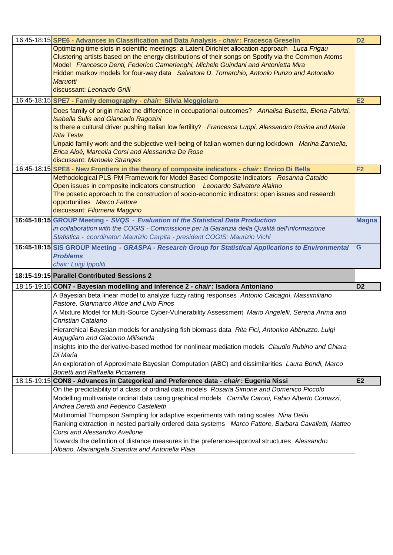| Optimizing time slots in scientific meetings: a Latent Dirichlet allocation approach Luca Frigau<br>Clustering artists based on the energy distributions of their songs on Spotify via the Common Atoms | D <sub>2</sub> |
|---------------------------------------------------------------------------------------------------------------------------------------------------------------------------------------------------------|----------------|
|                                                                                                                                                                                                         |                |
|                                                                                                                                                                                                         |                |
| Model Francesco Denti, Federico Camerlenghi, Michele Guindani and Antonietta Mira                                                                                                                       |                |
| Hidden markov models for four-way data Salvatore D. Tomarchio, Antonio Punzo and Antonello                                                                                                              |                |
| Maruotti                                                                                                                                                                                                |                |
| discussant: Leonardo Grilli                                                                                                                                                                             |                |
| 16:45-18:15 SPE7 - Family demography - chair: Silvia Meggiolaro<br><b>E2</b>                                                                                                                            |                |
| Does family of origin make the difference in occupational outcomes? Annalisa Busetta, Elena Fabrizi,                                                                                                    |                |
| <b>Isabella Sulis and Giancarlo Ragozini</b>                                                                                                                                                            |                |
| Is there a cultural driver pushing Italian low fertility? Francesca Luppi, Alessandro Rosina and Maria                                                                                                  |                |
| <b>Rita Testa</b>                                                                                                                                                                                       |                |
| Unpaid family work and the subjective well-being of Italian women during lockdown Marina Zannella,                                                                                                      |                |
| Erica Aloé, Marcella Corsi and Alessandra De Rose<br>discussant: Manuela Stranges                                                                                                                       |                |
| 16:45-18:15 SPE8 - New Frontiers in the theory of composite indicators - chair: Enrico Di Bella<br>F <sub>2</sub>                                                                                       |                |
| Methodological PLS-PM Framework for Model Based Composite Indicators Rosanna Cataldo                                                                                                                    |                |
| Open issues in composite indicators construction Leonardo Salvatore Alaimo                                                                                                                              |                |
| The posetic approach to the construction of socio-economic indicators: open issues and research                                                                                                         |                |
| opportunities Marco Fattore                                                                                                                                                                             |                |
| discussant: Filomena Maggino                                                                                                                                                                            |                |
| 16:45-18:15 GROUP Meeting - SVQS - Evaluation of the Statistical Data Production                                                                                                                        | <b>Magna</b>   |
| in collaboration with the COGIS - Commissione per la Garanzia della Qualità dell'informazione                                                                                                           |                |
| Statistica - coordinator: Maurizio Carpita - president COGIS: Maurizio Vichi                                                                                                                            |                |
| 16:45-18:15 SIS GROUP Meeting - GRASPA - Research Group for Statistical Applications to Environmental<br>G                                                                                              |                |
| <b>Problems</b>                                                                                                                                                                                         |                |
| chair: Luigi Ippoliti                                                                                                                                                                                   |                |
| 18:15-19:15 Parallel Contributed Sessions 2                                                                                                                                                             |                |
| D <sub>2</sub><br>18:15-19:15 CON7 - Bayesian modelling and inference 2 - chair: Isadora Antoniano                                                                                                      |                |
| A Bayesian beta linear model to analyze fuzzy rating responses Antonio Calcagni, Massimiliano                                                                                                           |                |
| Pastore, Gianmarco Altoe and Livio Finos                                                                                                                                                                |                |
|                                                                                                                                                                                                         |                |
| A Mixture Model for Multi-Source Cyber-Vulnerability Assessment Mario Angelelli, Serena Arima and                                                                                                       |                |
| Christian Catalano                                                                                                                                                                                      |                |
| Hierarchical Bayesian models for analysing fish biomass data Rita Fici, Antonino Abbruzzo, Luigi                                                                                                        |                |
| Augugliaro and Giacomo Milisenda                                                                                                                                                                        |                |
| Insights into the derivative-based method for nonlinear mediation models Claudio Rubino and Chiara                                                                                                      |                |
| Di Maria                                                                                                                                                                                                |                |
| An exploration of Approximate Bayesian Computation (ABC) and dissimilarities Laura Bondi, Marco                                                                                                         |                |
| <b>Bonetti and Raffaella Piccarreta</b>                                                                                                                                                                 |                |
| E2<br>18:15-19:15 CON8 - Advances in Categorical and Preference data - chair: Eugenia Nissi                                                                                                             |                |
| On the predictability of a class of ordinal data models Rosaria Simone and Domenico Piccolo                                                                                                             |                |
| Modelling multivariate ordinal data using graphical models Camilla Caroni, Fabio Alberto Comazzi,                                                                                                       |                |
| Andrea Deretti and Federico Castelletti                                                                                                                                                                 |                |
| Multinomial Thompson Sampling for adaptive experiments with rating scales Nina Deliu                                                                                                                    |                |
| Ranking extraction in nested partially ordered data systems Marco Fattore, Barbara Cavalletti, Matteo                                                                                                   |                |
| Corsi and Alessandro Avellone<br>Towards the definition of distance measures in the preference-approval structures Alessandro                                                                           |                |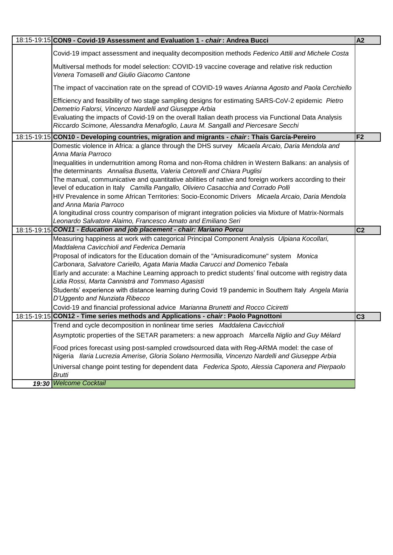| 18:15-19:15 CON9 - Covid-19 Assessment and Evaluation 1 - chair: Andrea Bucci                                                                                                                                                                                                                                                                                                                                                                                                                                                                                                                                                                                                                                                               | <b>A2</b>      |
|---------------------------------------------------------------------------------------------------------------------------------------------------------------------------------------------------------------------------------------------------------------------------------------------------------------------------------------------------------------------------------------------------------------------------------------------------------------------------------------------------------------------------------------------------------------------------------------------------------------------------------------------------------------------------------------------------------------------------------------------|----------------|
| Covid-19 impact assessment and inequality decomposition methods Federico Attili and Michele Costa                                                                                                                                                                                                                                                                                                                                                                                                                                                                                                                                                                                                                                           |                |
| Multiversal methods for model selection: COVID-19 vaccine coverage and relative risk reduction<br>Venera Tomaselli and Giulio Giacomo Cantone                                                                                                                                                                                                                                                                                                                                                                                                                                                                                                                                                                                               |                |
| The impact of vaccination rate on the spread of COVID-19 waves Arianna Agosto and Paola Cerchiello                                                                                                                                                                                                                                                                                                                                                                                                                                                                                                                                                                                                                                          |                |
| Efficiency and feasibility of two stage sampling designs for estimating SARS-CoV-2 epidemic Pietro<br>Demetrio Falorsi, Vincenzo Nardelli and Giuseppe Arbia<br>Evaluating the impacts of Covid-19 on the overall Italian death process via Functional Data Analysis<br>Riccardo Scimone, Alessandra Menafoglio, Laura M. Sangalli and Piercesare Secchi                                                                                                                                                                                                                                                                                                                                                                                    |                |
| 18:15-19:15 CON10 - Developing countries, migration and migrants - chair: Thais García-Pereiro                                                                                                                                                                                                                                                                                                                                                                                                                                                                                                                                                                                                                                              | F <sub>2</sub> |
| Domestic violence in Africa: a glance through the DHS survey Micaela Arcaio, Daria Mendola and<br>Anna Maria Parroco<br>Inequalities in undernutrition among Roma and non-Roma children in Western Balkans: an analysis of<br>the determinants Annalisa Busetta, Valeria Cetorelli and Chiara Puglisi<br>The manual, communicative and quantitative abilities of native and foreign workers according to their<br>level of education in Italy Camilla Pangallo, Oliviero Casacchia and Corrado Polli<br>HIV Prevalence in some African Territories: Socio-Economic Drivers Micaela Arcaio, Daria Mendola<br>and Anna Maria Parroco<br>A longitudinal cross country comparison of migrant integration policies via Mixture of Matrix-Normals |                |
|                                                                                                                                                                                                                                                                                                                                                                                                                                                                                                                                                                                                                                                                                                                                             |                |
| Leonardo Salvatore Alaimo, Francesco Amato and Emiliano Seri                                                                                                                                                                                                                                                                                                                                                                                                                                                                                                                                                                                                                                                                                |                |
| 18:15-19:15 CON11 - Education and job placement - chair: Mariano Porcu<br>Measuring happiness at work with categorical Principal Component Analysis Ulpiana Kocollari,<br>Maddalena Cavicchioli and Federica Demaria                                                                                                                                                                                                                                                                                                                                                                                                                                                                                                                        | C <sub>2</sub> |
| Proposal of indicators for the Education domain of the "Amisuradicomune" system Monica<br>Carbonara, Salvatore Cariello, Agata Maria Madia Carucci and Domenico Tebala<br>Early and accurate: a Machine Learning approach to predict students' final outcome with registry data<br>Lidia Rossi, Marta Cannistrà and Tommaso Agasisti<br>Students' experience with distance learning during Covid 19 pandemic in Southern Italy Angela Maria<br>D'Uggento and Nunziata Ribecco                                                                                                                                                                                                                                                               |                |
| Covid-19 and financial professional advice Marianna Brunetti and Rocco Ciciretti<br>18:15-19:15 CON12 - Time series methods and Applications - chair: Paolo Pagnottoni                                                                                                                                                                                                                                                                                                                                                                                                                                                                                                                                                                      | C <sub>3</sub> |
| Trend and cycle decomposition in nonlinear time series Maddalena Cavicchioli<br>Asymptotic properties of the SETAR parameters: a new approach Marcella Niglio and Guy Mélard                                                                                                                                                                                                                                                                                                                                                                                                                                                                                                                                                                |                |
| Food prices forecast using post-sampled crowdsourced data with Reg-ARMA model: the case of<br>Nigeria Ilaria Lucrezia Amerise, Gloria Solano Hermosilla, Vincenzo Nardelli and Giuseppe Arbia<br>Universal change point testing for dependent data Federica Spoto, Alessia Caponera and Pierpaolo                                                                                                                                                                                                                                                                                                                                                                                                                                           |                |
| <b>Brutti</b><br>19:30 Welcome Cocktail                                                                                                                                                                                                                                                                                                                                                                                                                                                                                                                                                                                                                                                                                                     |                |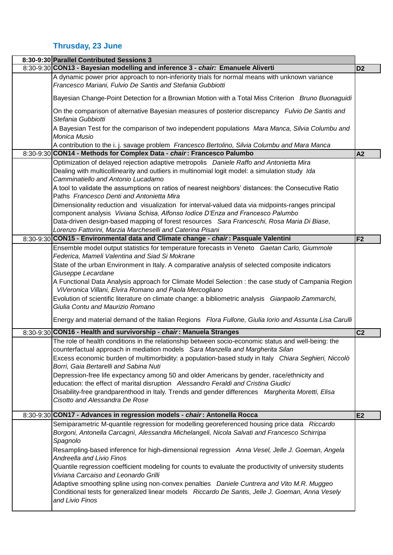## **Thrusday, 23 June**

| 8:30-9:30 Parallel Contributed Sessions 3                                                                                                                                                                                       |                |
|---------------------------------------------------------------------------------------------------------------------------------------------------------------------------------------------------------------------------------|----------------|
| 8:30-9:30 CON13 - Bayesian modelling and inference 3 - chair: Emanuele Aliverti                                                                                                                                                 | D <sub>2</sub> |
| A dynamic power prior approach to non-inferiority trials for normal means with unknown variance<br>Francesco Mariani, Fulvio De Santis and Stefania Gubbiotti                                                                   |                |
| Bayesian Change-Point Detection for a Brownian Motion with a Total Miss Criterion Bruno Buonaguidi                                                                                                                              |                |
| On the comparison of alternative Bayesian measures of posterior discrepancy Fulvio De Santis and<br>Stefania Gubbiotti                                                                                                          |                |
| A Bayesian Test for the comparison of two independent populations Mara Manca, Silvia Columbu and<br>Monica Musio                                                                                                                |                |
| A contribution to the i. j. savage problem Francesco Bertolino, Silvia Columbu and Mara Manca                                                                                                                                   |                |
| 8:30-9:30 CON14 - Methods for Complex Data - chair: Francesco Palumbo                                                                                                                                                           | A2             |
| Optimization of delayed rejection adaptive metropolis Daniele Raffo and Antonietta Mira<br>Dealing with multicollinearity and outliers in multinomial logit model: a simulation study Ida<br>Camminatiello and Antonio Lucadamo |                |
| A tool to validate the assumptions on ratios of nearest neighbors' distances: the Consecutive Ratio<br>Paths Francesco Denti and Antonietta Mira                                                                                |                |
| Dimensionality reduction and visualization for interval-valued data via midpoints-ranges principal<br>component analysis Viviana Schisa, Alfonso lodice D'Enza and Francesco Palumbo                                            |                |
| Data-driven design-based mapping of forest resources Sara Franceschi, Rosa Maria Di Biase,                                                                                                                                      |                |
| Lorenzo Fattorini, Marzia Marcheselli and Caterina Pisani                                                                                                                                                                       |                |
| 8:30-9:30 CON15 - Environmental data and Climate change - chair: Pasquale Valentini                                                                                                                                             | F <sub>2</sub> |
| Ensemble model output statistics for temperature forecasts in Veneto Gaetan Carlo, Giummole                                                                                                                                     |                |
| Federica, Mameli Valentina and Siad Si Mokrane                                                                                                                                                                                  |                |
| State of the urban Environment in Italy. A comparative analysis of selected composite indicators                                                                                                                                |                |
| Giuseppe Lecardane                                                                                                                                                                                                              |                |
| A Functional Data Analysis approach for Climate Model Selection : the case study of Campania Region                                                                                                                             |                |
| ViVeronica Villani, Elvira Romano and Paola Mercogliano                                                                                                                                                                         |                |
| Evolution of scientific literature on climate change: a bibliometric analysis Gianpaolo Zammarchi,<br>Giulia Contu and Maurizio Romano                                                                                          |                |
| Energy and material demand of the Italian Regions Flora Fullone, Giulia Iorio and Assunta Lisa Carulli                                                                                                                          |                |
| 8:30-9:30 CON16 - Health and survivorship - chair: Manuela Stranges                                                                                                                                                             | C <sub>2</sub> |
| The role of health conditions in the relationship between socio-economic status and well-being: the                                                                                                                             |                |
| counterfactual approach in mediation models Sara Manzella and Margherita Silan                                                                                                                                                  |                |
| Excess economic burden of multimorbidity: a population-based study in Italy Chiara Seghieri, Niccolò                                                                                                                            |                |
| Borri, Gaia Bertarelli and Sabina Nuti<br>Depression-free life expectancy among 50 and older Americans by gender, race/ethnicity and                                                                                            |                |
| education: the effect of marital disruption Alessandro Feraldi and Cristina Giudici                                                                                                                                             |                |
| Disability-free grandparenthood in Italy. Trends and gender differences Margherita Moretti, Elisa                                                                                                                               |                |
| Cisotto and Alessandra De Rose                                                                                                                                                                                                  |                |
|                                                                                                                                                                                                                                 |                |
| 8:30-9:30 CON17 - Advances in regression models - chair: Antonella Rocca                                                                                                                                                        | E2             |
| Semiparametric M-quantile regression for modelling georeferenced housing price data Riccardo<br>Borgoni, Antonella Carcagni, Alessandra Michelangeli, Nicola Salvati and Francesco Schirripa<br>Spagnolo                        |                |
| Resampling-based inference for high-dimensional regression Anna Vesel, Jelle J. Goeman, Angela<br><b>Andreella and Livio Finos</b>                                                                                              |                |
| Quantile regression coefficient modeling for counts to evaluate the productivity of university students<br>Viviana Carcaiso and Leonardo Grilli                                                                                 |                |
| Adaptive smoothing spline using non-convex penalties Daniele Cuntrera and Vito M.R. Muggeo<br>Conditional tests for generalized linear models Riccardo De Santis, Jelle J. Goeman, Anna Vesely                                  |                |
| and Livio Finos                                                                                                                                                                                                                 |                |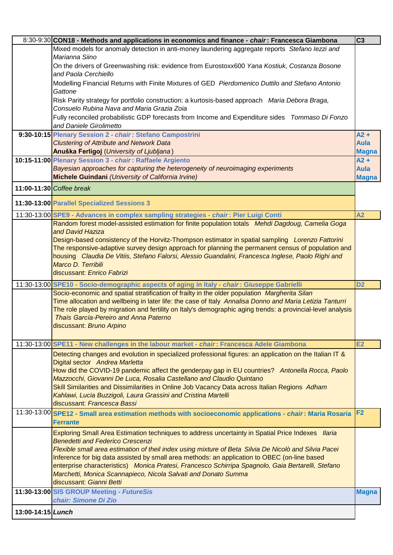|                   | 8:30-9:30 CON18 - Methods and applications in economics and finance - chair: Francesca Giambona                                                                      | C <sub>3</sub>         |
|-------------------|----------------------------------------------------------------------------------------------------------------------------------------------------------------------|------------------------|
|                   | Mixed models for anomaly detection in anti-money laundering aggregate reports Stefano lezzi and<br>Marianna Siino                                                    |                        |
|                   | On the drivers of Greenwashing risk: evidence from Eurostoxx600 Yana Kostiuk, Costanza Bosone<br>and Paola Cerchiello                                                |                        |
|                   | Modelling Financial Returns with Finite Mixtures of GED Pierdomenico Duttilo and Stefano Antonio<br>Gattone                                                          |                        |
|                   | Risk Parity strategy for portfolio construction: a kurtosis-based approach Maria Debora Braga,<br>Consuelo Rubina Nava and Maria Grazia Zoia                         |                        |
|                   | Fully reconciled probabilistic GDP forecasts from Income and Expenditure sides Tommaso Di Fonzo                                                                      |                        |
|                   | and Daniele Girolimetto                                                                                                                                              |                        |
|                   | 9:30-10:15 Plenary Session 2 - chair: Stefano Campostrini                                                                                                            | $A2 +$<br><b>Aula</b>  |
|                   | <b>Clustering of Attribute and Network Data</b><br>Anuška Ferligoj (University of Ljubljana)                                                                         |                        |
|                   | 10:15-11:00 Plenary Session 3 - chair: Raffaele Argiento                                                                                                             | <b>Magna</b><br>$A2 +$ |
|                   | Bayesian approaches for capturing the heterogeneity of neuroimaging experiments                                                                                      | <b>Aula</b>            |
|                   | Michele Guindani (University of California Irvine)                                                                                                                   | <b>Magna</b>           |
|                   | 11:00-11:30 Coffee break                                                                                                                                             |                        |
|                   | 11:30-13:00 Parallel Specialized Sessions 3                                                                                                                          |                        |
|                   | 11:30-13:00 SPE9 - Advances in complex sampling strategies - chair: Pier Luigi Conti                                                                                 | A2                     |
|                   | Random forest model-assisted estimation for finite population totals Mehdi Dagdoug, Camelia Goga                                                                     |                        |
|                   | and David Haziza                                                                                                                                                     |                        |
|                   | Design-based consistency of the Horvitz-Thompson estimator in spatial sampling Lorenzo Fattorini                                                                     |                        |
|                   | The responsive-adaptive survey design approach for planning the permanent census of population and                                                                   |                        |
|                   | housing Claudia De Vitiis, Stefano Falorsi, Alessio Guandalini, Francesca Inglese, Paolo Righi and                                                                   |                        |
|                   | Marco D. Terribili                                                                                                                                                   |                        |
|                   | discussant: Enrico Fabrizi                                                                                                                                           |                        |
|                   | 11:30-13:00 SPE10 - Socio-demographic aspects of aging in Italy - chair: Giuseppe Gabrielli                                                                          | D <sub>2</sub>         |
|                   | Socio-economic and spatial stratification of frailty in the older population Margherita Silan                                                                        |                        |
|                   | Time allocation and wellbeing in later life: the case of Italy Annalisa Donno and Maria Letizia Tanturri                                                             |                        |
|                   | The role played by migration and fertility on Italy's demographic aging trends: a provincial-level analysis                                                          |                        |
|                   | Thaís García-Pereiro and Anna Paterno                                                                                                                                |                        |
|                   | discussant: Bruno Arpino                                                                                                                                             |                        |
|                   | 11:30-13:00 SPE11 - New challenges in the labour market - <i>chair</i> : Francesca Adele Giambona                                                                    | <b>E2</b>              |
|                   | Detecting changes and evolution in specialized professional figures: an application on the Italian IT &                                                              |                        |
|                   | Digital sector Andrea Marletta                                                                                                                                       |                        |
|                   | How did the COVID-19 pandemic affect the genderpay gap in EU countries? Antonella Rocca, Paolo                                                                       |                        |
|                   | Mazzocchi, Giovanni De Luca, Rosalia Castellano and Claudio Quintano                                                                                                 |                        |
|                   | Skill Similarities and Dissimilarities in Online Job Vacancy Data across Italian Regions Adham                                                                       |                        |
|                   | Kahlawi, Lucia Buzzigoli, Laura Grassini and Cristina Martelli                                                                                                       |                        |
|                   | discussant: Francesca Bassi                                                                                                                                          |                        |
|                   | 11:30-13:00 SPE12 - Small area estimation methods with socioeconomic applications - chair: Maria Rosaria                                                             | F <sub>2</sub>         |
|                   | <b>Ferrante</b>                                                                                                                                                      |                        |
|                   | Exploring Small Area Estimation techniques to address uncertainty in Spatial Price Indexes Ilaria                                                                    |                        |
|                   | <b>Benedetti and Federico Crescenzi</b>                                                                                                                              |                        |
|                   | Flexible small area estimation of theil index using mixture of Beta Silvia De Nicolò and Silvia Pacei                                                                |                        |
|                   | Inference for big data assisted by small area methods: an application to OBEC (on-line based                                                                         |                        |
|                   | enterprise characteristics) Monica Pratesi, Francesco Schirripa Spagnolo, Gaia Bertarelli, Stefano<br>Marchetti, Monica Scannapieco, Nicola Salvati and Donato Summa |                        |
|                   | discussant: Gianni Betti                                                                                                                                             |                        |
|                   | 11:30-13:00 SIS GROUP Meeting - FutureSis                                                                                                                            |                        |
|                   | chair: Simone Di Zio                                                                                                                                                 | <b>Magna</b>           |
| 13:00-14:15 Lunch |                                                                                                                                                                      |                        |
|                   |                                                                                                                                                                      |                        |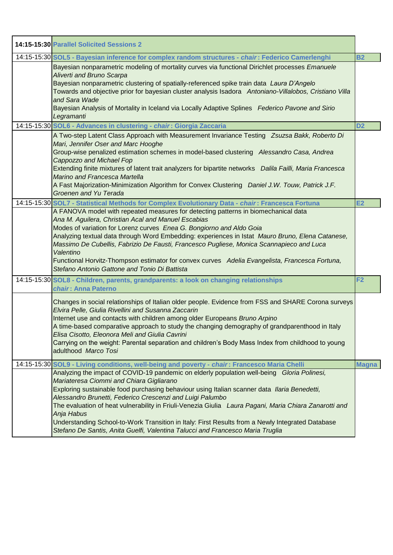| 14:15-15:30 Parallel Solicited Sessions 2                                                                                                                                                                                                                                                                                                                                                                                                                                                                                                                                                                          |                |
|--------------------------------------------------------------------------------------------------------------------------------------------------------------------------------------------------------------------------------------------------------------------------------------------------------------------------------------------------------------------------------------------------------------------------------------------------------------------------------------------------------------------------------------------------------------------------------------------------------------------|----------------|
| 14:15-15:30 SOL5 - Bayesian inference for complex random structures - chair: Federico Camerlenghi                                                                                                                                                                                                                                                                                                                                                                                                                                                                                                                  | <b>B2</b>      |
| Bayesian nonparametric modeling of mortality curves via functional Dirichlet processes Emanuele<br>Aliverti and Bruno Scarpa<br>Bayesian nonparametric clustering of spatially-referenced spike train data Laura D'Angelo<br>Towards and objective prior for bayesian cluster analysis Isadora Antoniano-Villalobos, Cristiano Villa<br>and Sara Wade<br>Bayesian Analysis of Mortality in Iceland via Locally Adaptive Splines Federico Pavone and Sirio<br>Legramanti                                                                                                                                            |                |
| 14:15-15:30 SOL6 - Advances in clustering - chair: Giorgia Zaccaria                                                                                                                                                                                                                                                                                                                                                                                                                                                                                                                                                | D <sub>2</sub> |
| A Two-step Latent Class Approach with Measurement Invariance Testing Zsuzsa Bakk, Roberto Di<br>Mari, Jennifer Oser and Marc Hooghe<br>Group-wise penalized estimation schemes in model-based clustering Alessandro Casa, Andrea<br>Cappozzo and Michael Fop<br>Extending finite mixtures of latent trait analyzers for bipartite networks Dalila Failli, Maria Francesca<br>Marino and Francesca Martella<br>A Fast Majorization-Minimization Algorithm for Convex Clustering Daniel J.W. Touw, Patrick J.F.<br>Groenen and Yu Terada                                                                             |                |
| 14:15-15:30 SOL7 - Statistical Methods for Complex Evolutionary Data - chair: Francesca Fortuna                                                                                                                                                                                                                                                                                                                                                                                                                                                                                                                    | E2             |
| A FANOVA model with repeated measures for detecting patterns in biomechanical data<br>Ana M. Aguilera, Christian Acal and Manuel Escabias<br>Modes of variation for Lorenz curves Enea G. Bongiorno and Aldo Goia<br>Analyzing textual data through Word Embedding: experiences in Istat Mauro Bruno, Elena Catanese,<br>Massimo De Cubellis, Fabrizio De Fausti, Francesco Pugliese, Monica Scannapieco and Luca<br>Valentino<br>Functional Horvitz-Thompson estimator for convex curves Adelia Evangelista, Francesca Fortuna,<br>Stefano Antonio Gattone and Tonio Di Battista                                  |                |
| 14:15-15:30 SOL8 - Children, parents, grandparents: a look on changing relationships<br>chair: Anna Paterno                                                                                                                                                                                                                                                                                                                                                                                                                                                                                                        | F <sub>2</sub> |
| Changes in social relationships of Italian older people. Evidence from FSS and SHARE Corona surveys<br>Elvira Pelle, Giulia Rivellini and Susanna Zaccarin<br>Internet use and contacts with children among older Europeans Bruno Arpino<br>A time-based comparative approach to study the changing demography of grandparenthood in Italy<br>Elisa Cisotto, Eleonora Meli and Giulia Cavrini<br>Carrying on the weight: Parental separation and children's Body Mass Index from childhood to young<br>adulthood Marco Tosi                                                                                        |                |
| 14:15-15:30 SOL9 - Living conditions, well-being and poverty - chair: Francesco Maria Chelli                                                                                                                                                                                                                                                                                                                                                                                                                                                                                                                       | <b>Magna</b>   |
| Analyzing the impact of COVID-19 pandemic on elderly population well-being Gloria Polinesi,<br>Mariateresa Ciommi and Chiara Gigliarano<br>Exploring sustainable food purchasing behaviour using Italian scanner data Ilaria Benedetti,<br>Alessandro Brunetti, Federico Crescenzi and Luigi Palumbo<br>The evaluation of heat vulnerability in Friuli-Venezia Giulia Laura Pagani, Maria Chiara Zanarotti and<br>Anja Habus<br>Understanding School-to-Work Transition in Italy: First Results from a Newly Integrated Database<br>Stefano De Santis, Anita Guelfi, Valentina Talucci and Francesco Maria Truglia |                |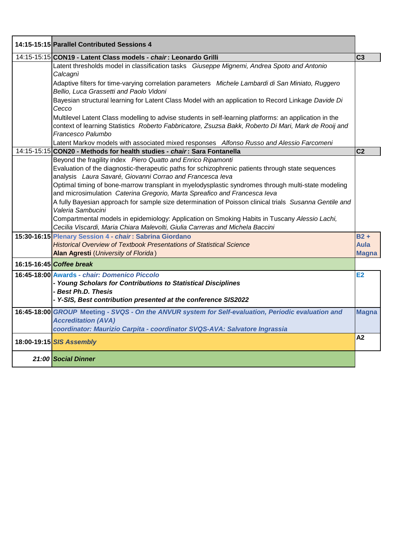| 14:15-15:15 Parallel Contributed Sessions 4                                                                                                                                                                                                                                                                                                                                                                                                                                                                                                                                                                                                                                                                                                                                                                                                                                                                          |                                       |
|----------------------------------------------------------------------------------------------------------------------------------------------------------------------------------------------------------------------------------------------------------------------------------------------------------------------------------------------------------------------------------------------------------------------------------------------------------------------------------------------------------------------------------------------------------------------------------------------------------------------------------------------------------------------------------------------------------------------------------------------------------------------------------------------------------------------------------------------------------------------------------------------------------------------|---------------------------------------|
| 14:15-15:15 CON19 - Latent Class models - chair: Leonardo Grilli                                                                                                                                                                                                                                                                                                                                                                                                                                                                                                                                                                                                                                                                                                                                                                                                                                                     | C <sub>3</sub>                        |
| Latent thresholds model in classification tasks Giuseppe Mignemi, Andrea Spoto and Antonio<br>Calcagni<br>Adaptive filters for time-varying correlation parameters Michele Lambardi di San Miniato, Ruggero<br>Bellio, Luca Grassetti and Paolo Vidoni<br>Bayesian structural learning for Latent Class Model with an application to Record Linkage Davide Di<br>Cecco                                                                                                                                                                                                                                                                                                                                                                                                                                                                                                                                               |                                       |
| Multilevel Latent Class modelling to advise students in self-learning platforms: an application in the<br>context of learning Statistics Roberto Fabbricatore, Zsuzsa Bakk, Roberto Di Mari, Mark de Rooij and<br>Francesco Palumbo<br>Latent Markov models with associated mixed responses Alfonso Russo and Alessio Farcomeni                                                                                                                                                                                                                                                                                                                                                                                                                                                                                                                                                                                      |                                       |
| 14:15-15:15 CON20 - Methods for health studies - chair: Sara Fontanella                                                                                                                                                                                                                                                                                                                                                                                                                                                                                                                                                                                                                                                                                                                                                                                                                                              | C <sub>2</sub>                        |
| Beyond the fragility index Piero Quatto and Enrico Ripamonti<br>Evaluation of the diagnostic-therapeutic paths for schizophrenic patients through state sequences<br>analysis Laura Savaré, Giovanni Corrao and Francesca leva<br>Optimal timing of bone-marrow transplant in myelodysplastic syndromes through multi-state modeling<br>and microsimulation Caterina Gregorio, Marta Spreafico and Francesca leva<br>A fully Bayesian approach for sample size determination of Poisson clinical trials Susanna Gentile and<br>Valeria Sambucini<br>Compartmental models in epidemiology: Application on Smoking Habits in Tuscany Alessio Lachi,<br>Cecilia Viscardi, Maria Chiara Malevolti, Giulia Carreras and Michela Baccini<br>15:30-16:15 Plenary Session 4 - chair: Sabrina Giordano<br><b>Historical Overview of Textbook Presentations of Statistical Science</b><br>Alan Agresti (University of Florida) | $B2 +$<br><b>Aula</b><br><b>Magna</b> |
| 16:15-16:45 Coffee break                                                                                                                                                                                                                                                                                                                                                                                                                                                                                                                                                                                                                                                                                                                                                                                                                                                                                             |                                       |
| 16:45-18:00 Awards - chair: Domenico Piccolo<br>- Young Scholars for Contributions to Statistical Disciplines<br>- Best Ph.D. Thesis<br>- Y-SIS, Best contribution presented at the conference SIS2022                                                                                                                                                                                                                                                                                                                                                                                                                                                                                                                                                                                                                                                                                                               | E2                                    |
| 16:45-18:00 GROUP Meeting - SVQS - On the ANVUR system for Self-evaluation, Periodic evaluation and<br><b>Accreditation (AVA)</b><br>coordinator: Maurizio Carpita - coordinator SVQS-AVA: Salvatore Ingrassia                                                                                                                                                                                                                                                                                                                                                                                                                                                                                                                                                                                                                                                                                                       | <b>Magna</b>                          |
| 18:00-19:15 SIS Assembly                                                                                                                                                                                                                                                                                                                                                                                                                                                                                                                                                                                                                                                                                                                                                                                                                                                                                             | A2                                    |
| 21:00 Social Dinner                                                                                                                                                                                                                                                                                                                                                                                                                                                                                                                                                                                                                                                                                                                                                                                                                                                                                                  |                                       |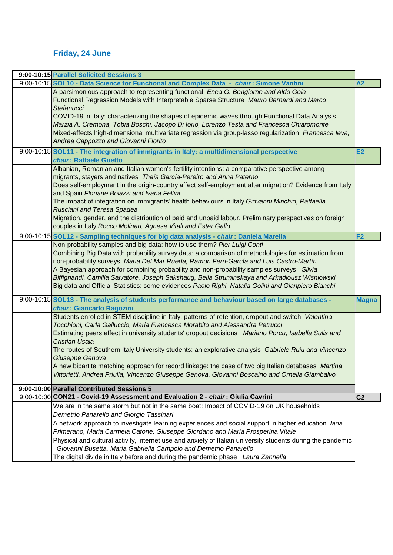## **Friday, 24 June**

| 9:00-10:15 Parallel Solicited Sessions 3                                                                                                                                                            |                |
|-----------------------------------------------------------------------------------------------------------------------------------------------------------------------------------------------------|----------------|
| 9:00-10:15 SOL10 - Data Science for Functional and Complex Data - chair: Simone Vantini                                                                                                             | A2             |
| A parsimonious approach to representing functional Enea G. Bongiorno and Aldo Goia                                                                                                                  |                |
| Functional Regression Models with Interpretable Sparse Structure Mauro Bernardi and Marco                                                                                                           |                |
| Stefanucci                                                                                                                                                                                          |                |
| COVID-19 in Italy: characterizing the shapes of epidemic waves through Functional Data Analysis<br>Marzia A. Cremona, Tobia Boschi, Jacopo Di Iorio, Lorenzo Testa and Francesca Chiaromonte        |                |
| Mixed-effects high-dimensional multivariate regression via group-lasso regularization Francesca leva,                                                                                               |                |
| Andrea Cappozzo and Giovanni Fiorito                                                                                                                                                                |                |
| 9:00-10:15 SOL11 - The integration of immigrants in Italy: a multidimensional perspective                                                                                                           | <b>E2</b>      |
| chair: Raffaele Guetto                                                                                                                                                                              |                |
| Albanian, Romanian and Italian women's fertility intentions: a comparative perspective among                                                                                                        |                |
| migrants, stayers and natives Thaís García-Pereiro and Anna Paterno                                                                                                                                 |                |
| Does self-employment in the origin-country affect self-employment after migration? Evidence from Italy                                                                                              |                |
| and Spain Floriane Bolazzi and Ivana Fellini                                                                                                                                                        |                |
| The impact of integration on immigrants' health behaviours in Italy Giovanni Minchio, Raffaella                                                                                                     |                |
| Rusciani and Teresa Spadea                                                                                                                                                                          |                |
| Migration, gender, and the distribution of paid and unpaid labour. Preliminary perspectives on foreign                                                                                              |                |
| couples in Italy Rocco Molinari, Agnese Vitali and Ester Gallo                                                                                                                                      |                |
| 9:00-10:15 SOL12 - Sampling techniques for big data analysis - chair: Daniela Marella                                                                                                               | F <sub>2</sub> |
| Non-probability samples and big data: how to use them? Pier Luigi Conti                                                                                                                             |                |
| Combining Big Data with probability survey data: a comparison of methodologies for estimation from                                                                                                  |                |
| non-probability surveys Maria Del Mar Rueda, Ramon Ferri-García and Luis Castro-Martín                                                                                                              |                |
| A Bayesian approach for combining probability and non-probability samples surveys Silvia                                                                                                            |                |
| Biffignandi, Camilla Salvatore, Joseph Sakshaug, Bella Struminskaya and Arkadiousz Wisniowski<br>Big data and Official Statistics: some evidences Paolo Righi, Natalia Golini and Gianpiero Bianchi |                |
|                                                                                                                                                                                                     |                |
| 9:00-10:15 SOL13 - The analysis of students performance and behaviour based on large databases -                                                                                                    | <b>Magna</b>   |
| chair: Giancarlo Ragozini                                                                                                                                                                           |                |
| Students enrolled in STEM discipline in Italy: patterns of retention, dropout and switch Valentina                                                                                                  |                |
| Tocchioni, Carla Galluccio, Maria Francesca Morabito and Alessandra Petrucci                                                                                                                        |                |
| Estimating peers effect in university students' dropout decisions Mariano Porcu, Isabella Sulis and                                                                                                 |                |
| <b>Cristian Usala</b><br>The routes of Southern Italy University students: an explorative analysis Gabriele Ruiu and Vincenzo                                                                       |                |
| Giuseppe Genova                                                                                                                                                                                     |                |
| A new bipartite matching approach for record linkage: the case of two big Italian databases Martina                                                                                                 |                |
| Vittorietti, Andrea Priulla, Vincenzo Giuseppe Genova, Giovanni Boscaino and Ornella Giambalvo                                                                                                      |                |
|                                                                                                                                                                                                     |                |
| 9:00-10:00 Parallel Contributed Sessions 5                                                                                                                                                          |                |
| 9:00-10:00 CON21 - Covid-19 Assessment and Evaluation 2 - chair: Giulia Cavrini                                                                                                                     | C <sub>2</sub> |
| We are in the same storm but not in the same boat: Impact of COVID-19 on UK households                                                                                                              |                |
| Demetrio Panarello and Giorgio Tassinari                                                                                                                                                            |                |
| A network approach to investigate learning experiences and social support in higher education laria<br>Primerano, Maria Carmela Catone, Giuseppe Giordano and Maria Prosperina Vitale               |                |
|                                                                                                                                                                                                     |                |
|                                                                                                                                                                                                     |                |
| Physical and cultural activity, internet use and anxiety of Italian university students during the pandemic<br>Giovanni Busetta, Maria Gabriella Campolo and Demetrio Panarello                     |                |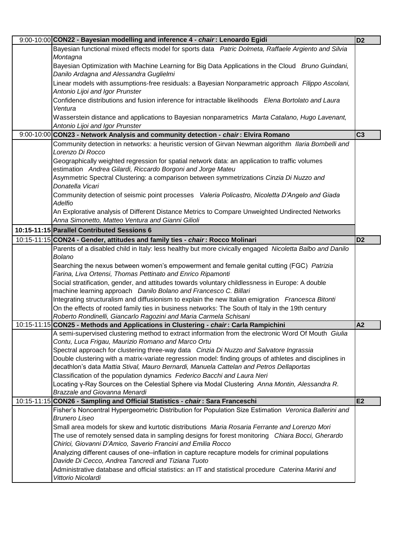| 9:00-10:00 CON22 - Bayesian modelling and inference 4 - chair: Lenoardo Egidi                                                                                 | D <sub>2</sub> |
|---------------------------------------------------------------------------------------------------------------------------------------------------------------|----------------|
| Bayesian functional mixed effects model for sports data Patric Dolmeta, Raffaele Argiento and Silvia<br>Montagna                                              |                |
| Bayesian Optimization with Machine Learning for Big Data Applications in the Cloud Bruno Guindani,<br>Danilo Ardagna and Alessandra Guglielmi                 |                |
| Linear models with assumptions-free residuals: a Bayesian Nonparametric approach Filippo Ascolani,<br>Antonio Lijoi and Igor Prunster                         |                |
| Confidence distributions and fusion inference for intractable likelihoods Elena Bortolato and Laura<br>Ventura                                                |                |
| Wasserstein distance and applications to Bayesian nonparametrics Marta Catalano, Hugo Lavenant,<br>Antonio Lijoi and Igor Prunster                            |                |
| 9:00-10:00 CON23 - Network Analysis and community detection - chair: Elvira Romano                                                                            | C <sub>3</sub> |
| Community detection in networks: a heuristic version of Girvan Newman algorithm Ilaria Bombelli and<br>Lorenzo Di Rocco                                       |                |
| Geographically weighted regression for spatial network data: an application to traffic volumes<br>estimation Andrea Gilardi, Riccardo Borgoni and Jorge Mateu |                |
| Asymmetric Spectral Clustering: a comparison between symmetrizations Cinzia Di Nuzzo and<br>Donatella Vicari                                                  |                |
| Community detection of seismic point processes Valeria Policastro, Nicoletta D'Angelo and Giada<br>Adelfio                                                    |                |
| An Explorative analysis of Different Distance Metrics to Compare Unweighted Undirected Networks<br>Anna Simonetto, Matteo Ventura and Gianni Gilioli          |                |
| 10:15-11:15 Parallel Contributed Sessions 6                                                                                                                   |                |
| 10:15-11:15 CON24 - Gender, attitudes and family ties - chair: Rocco Molinari                                                                                 | D <sub>2</sub> |
| Parents of a disabled child in Italy: less healthy but more civically engaged Nicoletta Balbo and Danilo                                                      |                |
| Bolano                                                                                                                                                        |                |
| Searching the nexus between women's empowerment and female genital cutting (FGC) Patrizia                                                                     |                |
| Farina, Liva Ortensi, Thomas Pettinato and Enrico Ripamonti                                                                                                   |                |
| Social stratification, gender, and attitudes towards voluntary childlessness in Europe: A double                                                              |                |
| machine learning approach Danilo Bolano and Francesco C. Billari                                                                                              |                |
| Integrating structuralism and diffusionism to explain the new Italian emigration Francesca Bitonti                                                            |                |
| On the effects of rooted family ties in business networks: The South of Italy in the 19th century                                                             |                |
| Roberto Rondinelli, Giancarlo Ragozini and Maria Carmela Schisani                                                                                             |                |
| 10:15-11:15 CON25 - Methods and Applications in Clustering - chair: Carla Rampichini                                                                          | A2             |
| A semi-supervised clustering method to extract information from the electronic Word Of Mouth Giulia                                                           |                |
| Contu, Luca Frigau, Maurizio Romano and Marco Ortu                                                                                                            |                |
| Spectral approach for clustering three-way data Cinzia Di Nuzzo and Salvatore Ingrassia                                                                       |                |
| Double clustering with a matrix-variate regression model: finding groups of athletes and disciplines in                                                       |                |
| decathlon's data Mattia Stival, Mauro Bernardi, Manuela Cattelan and Petros Dellaportas                                                                       |                |
| Classification of the population dynamics Federico Bacchi and Laura Neri                                                                                      |                |
| Locating y-Ray Sources on the Celestial Sphere via Modal Clustering Anna Montin, Alessandra R.                                                                |                |
| Brazzale and Giovanna Menardi                                                                                                                                 |                |
| 10:15-11:15 CON26 - Sampling and Official Statistics - chair: Sara Franceschi                                                                                 | E2             |
| Fisher's Noncentral Hypergeometric Distribution for Population Size Estimation Veronica Ballerini and                                                         |                |
| <b>Brunero Liseo</b>                                                                                                                                          |                |
| Small area models for skew and kurtotic distributions Maria Rosaria Ferrante and Lorenzo Mori                                                                 |                |
| The use of remotely sensed data in sampling designs for forest monitoring Chiara Bocci, Gherardo                                                              |                |
| Chirici, Giovanni D'Amico, Saverio Francini and Emilia Rocco                                                                                                  |                |
| Analyzing different causes of one-inflation in capture recapture models for criminal populations                                                              |                |
| Davide Di Cecco, Andrea Tancredi and Tiziana Tuoto                                                                                                            |                |
| Administrative database and official statistics: an IT and statistical procedure Caterina Marini and                                                          |                |
| Vittorio Nicolardi                                                                                                                                            |                |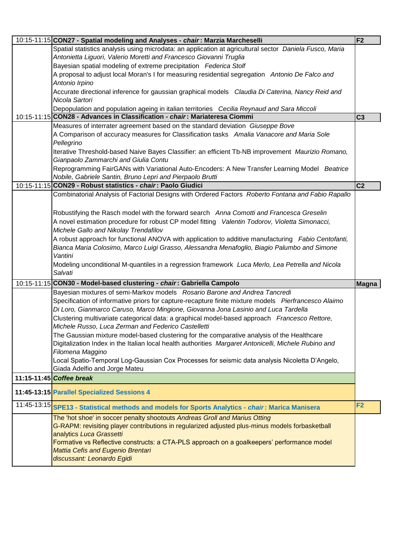| 10:15-11:15 CON27 - Spatial modeling and Analyses - chair: Marzia Marcheselli                            | F <sub>2</sub> |
|----------------------------------------------------------------------------------------------------------|----------------|
| Spatial statistics analysis using microdata: an application at agricultural sector Daniela Fusco, Maria  |                |
| Antonietta Liguori, Valerio Moretti and Francesco Giovanni Truglia                                       |                |
| Bayesian spatial modeling of extreme precipitation Federica Stolf                                        |                |
| A proposal to adjust local Moran's I for measuring residential segregation Antonio De Falco and          |                |
| Antonio Irpino                                                                                           |                |
| Accurate directional inference for gaussian graphical models Claudia Di Caterina, Nancy Reid and         |                |
| Nicola Sartori                                                                                           |                |
| Depopulation and population ageing in italian territories Cecilia Reynaud and Sara Miccoli               |                |
| 10:15-11:15 CON28 - Advances in Classification - chair: Mariateresa Ciommi                               | C <sub>3</sub> |
| Measures of interrater agreement based on the standard deviation Giuseppe Bove                           |                |
| A Comparison of accuracy measures for Classification tasks Amalia Vanacore and Maria Sole                |                |
| Pellegrino                                                                                               |                |
| Iterative Threshold-based Naive Bayes Classifier: an efficient Tb-NB improvement Maurizio Romano,        |                |
| Gianpaolo Zammarchi and Giulia Contu                                                                     |                |
| Reprogramming FairGANs with Variational Auto-Encoders: A New Transfer Learning Model Beatrice            |                |
| Nobile, Gabriele Santin, Bruno Lepri and Pierpaolo Brutti                                                |                |
| 10:15-11:15 CON29 - Robust statistics - chair: Paolo Giudici                                             | C <sub>2</sub> |
| Combinatorial Analysis of Factorial Designs with Ordered Factors Roberto Fontana and Fabio Rapallo       |                |
|                                                                                                          |                |
| Robustifying the Rasch model with the forward search Anna Comotti and Francesca Greselin                 |                |
| A novel estimation procedure for robust CP model fitting Valentin Todorov, Violetta Simonacci,           |                |
| Michele Gallo and Nikolay Trendafilov                                                                    |                |
| A robust approach for functional ANOVA with application to additive manufacturing Fabio Centofanti,      |                |
| Bianca Maria Colosimo, Marco Luigi Grasso, Alessandra Menafoglio, Biagio Palumbo and Simone              |                |
| Vantini                                                                                                  |                |
| Modeling unconditional M-quantiles in a regression framework Luca Merlo, Lea Petrella and Nicola         |                |
| Salvati                                                                                                  |                |
| 10:15-11:15 CON30 - Model-based clustering - chair: Gabriella Campolo                                    | Magna          |
| Bayesian mixtures of semi-Markov models Rosario Barone and Andrea Tancredi                               |                |
| Specification of informative priors for capture-recapture finite mixture models Pierfrancesco Alaimo     |                |
| Di Loro, Gianmarco Caruso, Marco Mingione, Giovanna Jona Lasinio and Luca Tardella                       |                |
| Clustering multivariate categorical data: a graphical model-based approach Francesco Rettore,            |                |
| Michele Russo, Luca Zerman and Federico Castelletti                                                      |                |
| The Gaussian mixture model-based clustering for the comparative analysis of the Healthcare               |                |
| Digitalization Index in the Italian local health authorities Margaret Antonicelli, Michele Rubino and    |                |
| Filomena Maggino                                                                                         |                |
| Local Spatio-Temporal Log-Gaussian Cox Processes for seismic data analysis Nicoletta D'Angelo,           |                |
| Giada Adelfio and Jorge Mateu                                                                            |                |
| 11:15-11:45 Coffee break                                                                                 |                |
|                                                                                                          |                |
| 11:45-13:15 Parallel Specialized Sessions 4                                                              |                |
| 11:45-13:15 SPE13 - Statistical methods and models for Sports Analytics - <i>chair</i> : Marica Manisera | F <sub>2</sub> |
| The 'hot shoe' in soccer penalty shootouts Andreas Groll and Marius Otting                               |                |
| G-RAPM: revisiting player contributions in regularized adjusted plus-minus models forbasketball          |                |
| analytics Luca Grassetti                                                                                 |                |
| Formative vs Reflective constructs: a CTA-PLS approach on a goalkeepers' performance model               |                |
| <b>Mattia Cefis and Eugenio Brentari</b>                                                                 |                |
| discussant: Leonardo Egidi                                                                               |                |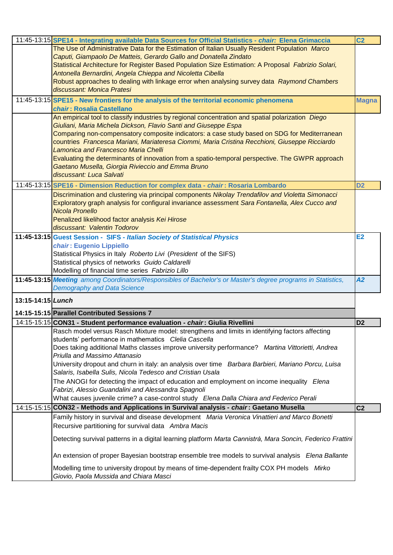|                   | 11:45-13:15 SPE14 - Integrating available Data Sources for Official Statistics - chair: Elena Grimaccia                                                 | C <sub>2</sub> |
|-------------------|---------------------------------------------------------------------------------------------------------------------------------------------------------|----------------|
|                   | The Use of Administrative Data for the Estimation of Italian Usually Resident Population Marco                                                          |                |
|                   | Caputi, Giampaolo De Matteis, Gerardo Gallo and Donatella Zindato                                                                                       |                |
|                   | Statistical Architecture for Register Based Population Size Estimation: A Proposal Fabrizio Solari,                                                     |                |
|                   | Antonella Bernardini, Angela Chieppa and Nicoletta Cibella                                                                                              |                |
|                   | Robust approaches to dealing with linkage error when analysing survey data Raymond Chambers                                                             |                |
|                   | discussant: Monica Pratesi                                                                                                                              |                |
|                   | 11:45-13:15 SPE15 - New frontiers for the analysis of the territorial economic phenomena                                                                | <b>Magna</b>   |
|                   | chair: Rosalia Castellano                                                                                                                               |                |
|                   | An empirical tool to classify industries by regional concentration and spatial polarization Diego                                                       |                |
|                   | Giuliani, Maria Michela Dickson, Flavio Santi and Giuseppe Espa                                                                                         |                |
|                   | Comparing non-compensatory composite indicators: a case study based on SDG for Mediterranean                                                            |                |
|                   | countries Francesca Mariani, Mariateresa Ciommi, Maria Cristina Recchioni, Giuseppe Ricciardo                                                           |                |
|                   | Lamonica and Francesco Maria Chelli                                                                                                                     |                |
|                   | Evaluating the determinants of innovation from a spatio-temporal perspective. The GWPR approach<br>Gaetano Musella, Giorgia Rivieccio and Emma Bruno    |                |
|                   | discussant: Luca Salvati                                                                                                                                |                |
|                   | 11:45-13:15 SPE16 - Dimension Reduction for complex data - chair: Rosaria Lombardo                                                                      | D <sub>2</sub> |
|                   | Discrimination and clustering via principal components Nikolay Trendafilov and Violetta Simonacci                                                       |                |
|                   | Exploratory graph analysis for configural invariance assessment Sara Fontanella, Alex Cucco and                                                         |                |
|                   | <b>Nicola Pronello</b>                                                                                                                                  |                |
|                   | Penalized likelihood factor analysis Kei Hirose                                                                                                         |                |
|                   | discussant: Valentin Todorov                                                                                                                            |                |
|                   | 11:45-13:15 Guest Session - SIFS - Italian Society of Statistical Physics                                                                               | E2             |
|                   | chair: Eugenio Lippiello                                                                                                                                |                |
|                   | Statistical Physics in Italy Roberto Livi (President of the SIFS)                                                                                       |                |
|                   | Statistical physics of networks Guido Caldarelli                                                                                                        |                |
|                   | Modelling of financial time series Fabrizio Lillo                                                                                                       |                |
|                   | 11:45-13:15 Meeting among Coordinators/Responsibles of Bachelor's or Master's degree programs in Statistics,                                            | A2             |
|                   | <b>Demography and Data Science</b>                                                                                                                      |                |
| 13:15-14:15 Lunch |                                                                                                                                                         |                |
|                   |                                                                                                                                                         |                |
|                   | 14:15-15:15 Parallel Contributed Sessions 7                                                                                                             |                |
|                   | 14:15-15:15 CON31 - Student performance evaluation - chair: Giulia Rivellini                                                                            | D <sub>2</sub> |
|                   | Rasch model versus Rasch Mixture model: strengthens and limits in identifying factors affecting<br>students' performance in mathematics Clelia Cascella |                |
|                   | Does taking additional Maths classes improve university performance? Martina Vittorietti, Andrea                                                        |                |
|                   | Priulla and Massimo Attanasio                                                                                                                           |                |
|                   | University dropout and churn in italy: an analysis over time Barbara Barbieri, Mariano Porcu, Luisa                                                     |                |
|                   | Salaris, Isabella Sulis, Nicola Tedesco and Cristian Usala                                                                                              |                |
|                   | The ANOGI for detecting the impact of education and employment on income inequality Elena                                                               |                |
|                   | Fabrizi, Alessio Guandalini and Alessandra Spagnoli                                                                                                     |                |
|                   | What causes juvenile crime? a case-control study Elena Dalla Chiara and Federico Perali                                                                 |                |
|                   | 14:15-15:15 CON32 - Methods and Applications in Survival analysis - <i>chair</i> : Gaetano Musella                                                      | C <sub>2</sub> |
|                   | Family history in survival and disease development Maria Veronica Vinattieri and Marco Bonetti                                                          |                |
|                   | Recursive partitioning for survival data Ambra Macis                                                                                                    |                |
|                   |                                                                                                                                                         |                |
|                   | Detecting survival patterns in a digital learning platform Marta Cannistrà, Mara Soncin, Federico Frattini                                              |                |
|                   | An extension of proper Bayesian bootstrap ensemble tree models to survival analysis Elena Ballante                                                      |                |
|                   |                                                                                                                                                         |                |
|                   | Modelling time to university dropout by means of time-dependent frailty COX PH models Mirko<br>Giovio, Paola Mussida and Chiara Masci                   |                |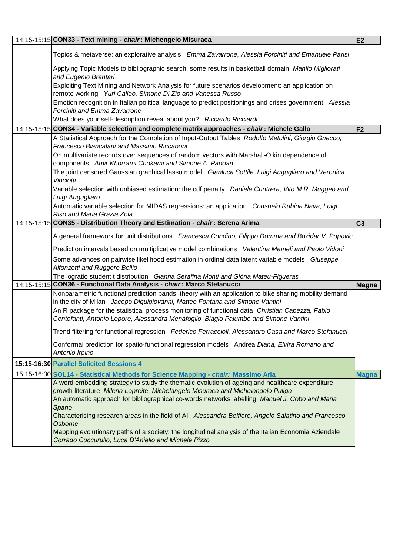| 14:15-15:15 CON33 - Text mining - chair: Michengelo Misuraca                                                                                                                            | E2             |
|-----------------------------------------------------------------------------------------------------------------------------------------------------------------------------------------|----------------|
| Topics & metaverse: an explorative analysis Emma Zavarrone, Alessia Forciniti and Emanuele Parisi                                                                                       |                |
| Applying Topic Models to bibliographic search: some results in basketball domain Manlio Migliorati<br>and Eugenio Brentari                                                              |                |
| Exploiting Text Mining and Network Analysis for future scenarios development: an application on<br>remote working Yuri Calleo, Simone Di Zio and Vanessa Russo                          |                |
| Emotion recognition in Italian political language to predict positionings and crises government Alessia<br>Forciniti and Emma Zavarrone                                                 |                |
| What does your self-description reveal about you? Riccardo Ricciardi                                                                                                                    |                |
| 14:15-15:15 CON34 - Variable selection and complete matrix approaches - chair: Michele Gallo                                                                                            | F <sub>2</sub> |
| A Statistical Approach for the Completion of Input-Output Tables Rodolfo Metulini, Giorgio Gnecco,<br>Francesco Biancalani and Massimo Riccaboni                                        |                |
| On multivariate records over sequences of random vectors with Marshall-Olkin dependence of<br>components Amir Khorrami Chokami and Simone A. Padoan                                     |                |
| The joint censored Gaussian graphical lasso model Gianluca Sottile, Luigi Augugliaro and Veronica<br>Vinciotti                                                                          |                |
| Variable selection with unbiased estimation: the cdf penalty Daniele Cuntrera, Vito M.R. Muggeo and<br>Luigi Augugliaro                                                                 |                |
| Automatic variable selection for MIDAS regressions: an application Consuelo Rubina Nava, Luigi<br>Riso and Maria Grazia Zoia                                                            |                |
| 14:15-15:15 CON35 - Distribution Theory and Estimation - chair: Serena Arima                                                                                                            | C <sub>3</sub> |
| A general framework for unit distributions Francesca Condino, Filippo Domma and Bozidar V. Popovic                                                                                      |                |
| Prediction intervals based on multiplicative model combinations Valentina Mameli and Paolo Vidoni                                                                                       |                |
| Some advances on pairwise likelihood estimation in ordinal data latent variable models Giuseppe<br>Alfonzetti and Ruggero Bellio                                                        |                |
| The logratio student t distribution Gianna Serafina Monti and Glòria Mateu-Figueras                                                                                                     |                |
| 14:15-15:15 CON36 - Functional Data Analysis - chair: Marco Stefanucci                                                                                                                  | Magna          |
| Nonparametric functional prediction bands: theory with an application to bike sharing mobility demand<br>in the city of Milan Jacopo Diquigiovanni, Matteo Fontana and Simone Vantini   |                |
| An R package for the statistical process monitoring of functional data Christian Capezza, Fabio<br>Centofanti, Antonio Lepore, Alessandra Menafoglio, Biagio Palumbo and Simone Vantini |                |
| Trend filtering for functional regression Federico Ferraccioli, Alessandro Casa and Marco Stefanucci                                                                                    |                |
| Conformal prediction for spatio-functional regression models Andrea Diana, Elvira Romano and<br>Antonio Irpino                                                                          |                |
| 15:15-16:30 Parallel Solicited Sessions 4                                                                                                                                               |                |
| 15:15-16:30 SOL14 - Statistical Methods for Science Mapping - <i>chair:</i> Massimo Aria                                                                                                | <b>Magna</b>   |
| A word embedding strategy to study the thematic evolution of ageing and healthcare expenditure                                                                                          |                |
| growth literature Milena Lopreite, Michelangelo Misuraca and Michelangelo Puliga                                                                                                        |                |
| An automatic approach for bibliographical co-words networks labelling Manuel J. Cobo and Maria<br>Spano                                                                                 |                |
| Characterising research areas in the field of AI Alessandra Belfiore, Angelo Salatino and Francesco<br>Osborne                                                                          |                |
| Mapping evolutionary paths of a society: the longitudinal analysis of the Italian Economia Aziendale<br>Corrado Cuccurullo, Luca D'Aniello and Michele Pizzo                            |                |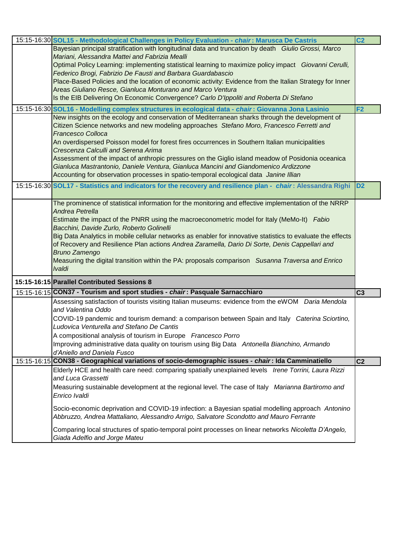| 15:15-16:30 SOL15 - Methodological Challenges in Policy Evaluation - chair: Marusca De Castris                                        | C <sub>2</sub> |
|---------------------------------------------------------------------------------------------------------------------------------------|----------------|
| Bayesian principal stratification with longitudinal data and truncation by death Giulio Grossi, Marco                                 |                |
| Mariani, Alessandra Mattei and Fabrizia Mealli                                                                                        |                |
| Optimal Policy Learning: implementing statistical learning to maximize policy impact Giovanni Cerulli,                                |                |
| Federico Brogi, Fabrizio De Fausti and Barbara Guardabascio                                                                           |                |
| Place-Based Policies and the location of economic activity: Evidence from the Italian Strategy for Inner                              |                |
| Areas Giuliano Resce, Gianluca Monturano and Marco Ventura                                                                            |                |
| Is the EIB Delivering On Economic Convergence? Carlo D'Ippoliti and Roberta Di Stefano                                                |                |
| 15:15-16:30 SOL16 - Modelling complex structures in ecological data - chair: Giovanna Jona Lasinio                                    | F <sub>2</sub> |
| New insights on the ecology and conservation of Mediterranean sharks through the development of                                       |                |
| Citizen Science networks and new modeling approaches Stefano Moro, Francesco Ferretti and                                             |                |
| <b>Francesco Colloca</b>                                                                                                              |                |
| An overdispersed Poisson model for forest fires occurrences in Southern Italian municipalities                                        |                |
| Crescenza Calculli and Serena Arima                                                                                                   |                |
| Assessment of the impact of anthropic pressures on the Giglio island meadow of Posidonia oceanica                                     |                |
| Gianluca Mastrantonio, Daniele Ventura, Gianluca Mancini and Giandomenico Ardizzone                                                   |                |
| Accounting for observation processes in spatio-temporal ecological data Janine Illian                                                 |                |
| 15:15-16:30 SOL17 - Statistics and indicators for the recovery and resilience plan - chair: Alessandra Righi                          | D <sub>2</sub> |
| The prominence of statistical information for the monitoring and effective implementation of the NRRP                                 |                |
| Andrea Petrella                                                                                                                       |                |
| Estimate the impact of the PNRR using the macroeconometric model for Italy (MeMo-It) Fabio                                            |                |
| Bacchini, Davide Zurlo, Roberto Golinelli                                                                                             |                |
| Big Data Analytics in mobile cellular networks as enabler for innovative statistics to evaluate the effects                           |                |
| of Recovery and Resilience Plan actions Andrea Zaramella, Dario Di Sorte, Denis Cappellari and                                        |                |
| <b>Bruno Zamengo</b>                                                                                                                  |                |
| Measuring the digital transition within the PA: proposals comparison Susanna Traversa and Enrico                                      |                |
| <i><b>Ivaldi</b></i>                                                                                                                  |                |
| 15:15-16:15 Parallel Contributed Sessions 8                                                                                           |                |
| 15:15-16:15 CON37 - Tourism and sport studies - chair: Pasquale Sarnacchiaro                                                          | C <sub>3</sub> |
| Assessing satisfaction of tourists visiting Italian museums: evidence from the eWOM Daria Mendola<br>and Valentina Oddo               |                |
| COVID-19 pandemic and tourism demand: a comparison between Spain and Italy Caterina Sciortino,                                        |                |
| Ludovica Venturella and Stefano De Cantis                                                                                             |                |
| A compositional analysis of tourism in Europe Francesco Porro                                                                         |                |
| Improving administrative data quality on tourism using Big Data Antonella Bianchino, Armando                                          |                |
| d'Aniello and Daniela Fusco                                                                                                           |                |
| 15:15-16:15 CON38 - Geographical variations of socio-demographic issues - chair: Ida Camminatiello                                    | C <sub>2</sub> |
| Elderly HCE and health care need: comparing spatially unexplained levels Irene Torrini, Laura Rizzi                                   |                |
| and Luca Grassetti                                                                                                                    |                |
| Measuring sustainable development at the regional level. The case of Italy Marianna Bartiromo and                                     |                |
| Enrico Ivaldi                                                                                                                         |                |
|                                                                                                                                       |                |
| Socio-economic deprivation and COVID-19 infection: a Bayesian spatial modelling approach Antonino                                     |                |
| Abbruzzo, Andrea Mattaliano, Alessandro Arrigo, Salvatore Scondotto and Mauro Ferrante                                                |                |
| Comparing local structures of spatio-temporal point processes on linear networks Nicoletta D'Angelo,<br>Giada Adelfio and Jorge Mateu |                |